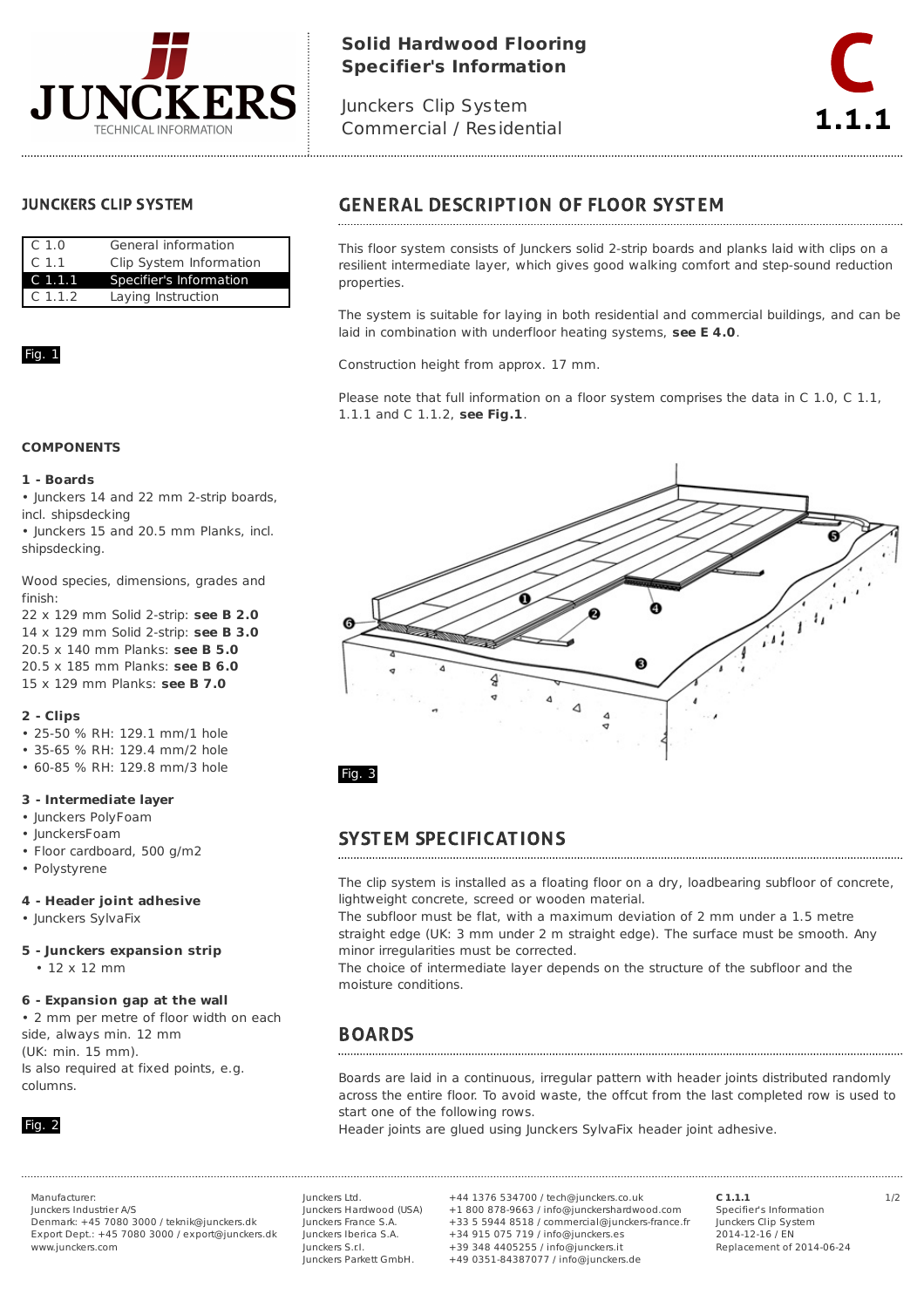

# **Solid Hardwood Flooring Specifier's Information**

Junckers Clip System Commercial / Residential



## **JUNCKERS CLIP SYSTEM**

| C <sub>1.0</sub>   | General information     |  |
|--------------------|-------------------------|--|
| $\mathsf{C}$ 1.1   | Clip System Information |  |
| C <sub>1.1.1</sub> | Specifier's Information |  |
| C <sub>1.1.2</sub> | Laying Instruction      |  |

## Fig. 1

### **COMPONENTS**

#### **1 - Boards**

• Junckers 14 and 22 mm 2-strip boards, incl. shipsdecking

• Junckers 15 and 20.5 mm Planks, incl. shipsdecking.

Wood species, dimensions, grades and finish:

22 x 129 mm Solid 2-strip: **see B 2.0** 14 x 129 mm Solid 2-strip: **see B 3.0** 20.5 x 140 mm Planks: **see B 5.0** 20.5 x 185 mm Planks: **see B 6.0** 15 x 129 mm Planks: **see B 7.0**

### **2 - Clips**

- 25-50 % RH: 129.1 mm/1 hole
- 35-65 % RH: 129.4 mm/2 hole
- 60-85 % RH: 129.8 mm/3 hole

#### **3 - Intermediate layer**

- Junckers PolyFoam
- JunckersFoam
- Floor cardboard, 500 g/m2
- Polystyrene

### **4 - Header joint adhesive**

• Junckers SylvaFix

### **5 - Junckers expansion strip**

• 12 x 12 mm

### **6 - Expansion gap at the wall**

• 2 mm per metre of floor width on each side, always min. 12 mm (UK: min. 15 mm). Is also required at fixed points, e.g. columns.



Junckers Industrier A/S

Denmark: +45 7080 3000 / teknik@junckers.dk Export Dept.: +45 7080 3000 / export@junckers.dk www.junckers.com

Junckers Ltd. Junckers Hardwood (USA) Junckers France S.A. Junckers Iberica S.A. Junckers S.r.I. Junckers Parkett GmbH.

Manufacturer: 1/2 +44 1376 534700 / tech@junckers.co.uk +1 800 878-9663 / info@junckershardwood.com +33 5 5944 8518 / commercial@junckers-france.fr +34 915 075 719 / info@junckers.es +39 348 4405255 / info@junckers.it +49 0351-84387077 / info@junckers.de

**C 1.1.1** Specifier's Information Junckers Clip System 2014-12-16 / EN Replacement of 2014-06-24

# **GENERAL DESCRIPTION OF FLOOR SYSTEM**

This floor system consists of Junckers solid 2-strip boards and planks laid with clips on a resilient intermediate layer, which gives good walking comfort and step-sound reduction properties.

The system is suitable for laying in both residential and commercial buildings, and can be laid in combination with underfloor heating systems, **see E 4.0**.

Construction height from approx. 17 mm.

Please note that full information on a floor system comprises the data in C 1.0, C 1.1, 1.1.1 and C 1.1.2, **see Fig.1**.



## **SYSTEM SPECIFICATIONS**

The clip system is installed as a floating floor on a dry, loadbearing subfloor of concrete, lightweight concrete, screed or wooden material.

The subfloor must be flat, with a maximum deviation of 2 mm under a 1.5 metre straight edge (UK: 3 mm under 2 m straight edge). The surface must be smooth. Any minor irregularities must be corrected.

The choice of intermediate layer depends on the structure of the subfloor and the moisture conditions.

## **BOARDS**

Boards are laid in a continuous, irregular pattern with header joints distributed randomly across the entire floor. To avoid waste, the offcut from the last completed row is used to start one of the following rows.

Header joints are glued using Junckers SylvaFix header joint adhesive.